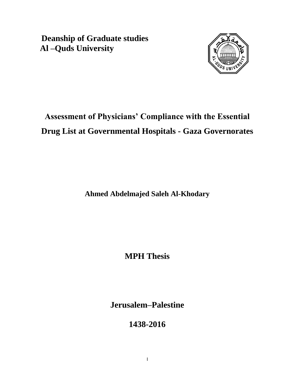**Deanship of Graduate studies Al –Quds University** 



# **Assessment of Physicians' Compliance with the Essential Drug List at Governmental Hospitals - Gaza Governorates**

**Ahmed Abdelmajed Saleh Al-Khodary**

**MPH Thesis**

**Jerusalem–Palestine**

**1438-2016**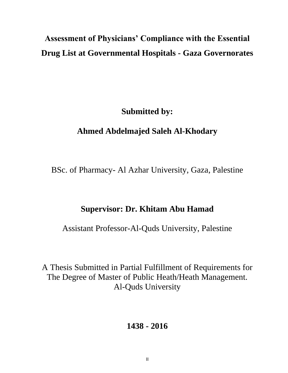# **Assessment of Physicians' Compliance with the Essential Drug List at Governmental Hospitals - Gaza Governorates**

**Submitted by:**

# **Ahmed Abdelmajed Saleh Al-Khodary**

BSc. of Pharmacy- Al Azhar University, Gaza, Palestine

### **Supervisor: Dr. Khitam Abu Hamad**

Assistant Professor-Al-Quds University, Palestine

A Thesis Submitted in Partial Fulfillment of Requirements for The Degree of Master of Public Heath/Heath Management. Al-Quds University

# **1438 - 2016**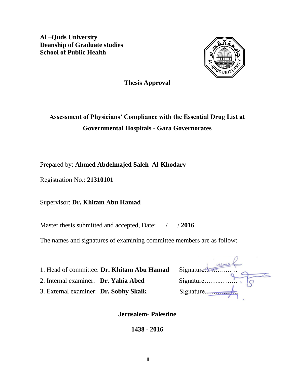**Al –Quds University Deanship of Graduate studies School of Public Health** 



**Thesis Approval**

# **Assessment of Physicians' Compliance with the Essential Drug List at Governmental Hospitals - Gaza Governorates**

Prepared by: **Ahmed Abdelmajed Saleh Al-Khodary**

Registration No.: **21310101**

Supervisor: **Dr. Khitam Abu Hamad**

Master thesis submitted and accepted, Date: / / 2016

The names and signatures of examining committee members are as follow:

1. Head of committee: Dr. Khitam Abu Hamad

2. Internal examiner: **Dr. Yahia Abed** 

3. External examiner: Dr. Sobhy Skaik

| Signature to |
|--------------|
| Signature    |
| Signature    |

**Jerusalem- Palestine**

**1438 - 2016**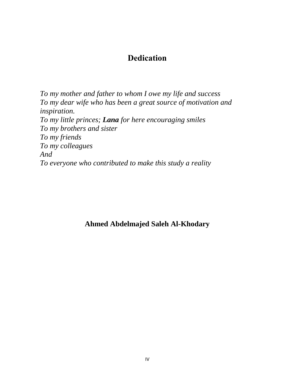# **Dedication**

<span id="page-3-0"></span>*To my mother and father to whom I owe my life and success To my dear wife who has been a great source of motivation and inspiration. To my little princes; Lana for here encouraging smiles To my brothers and sister To my friends To my colleagues And To everyone who contributed to make this study a reality* 

# **Ahmed Abdelmajed Saleh Al-Khodary**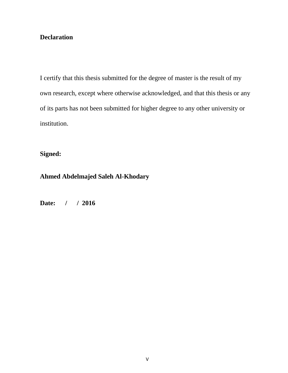### <span id="page-4-0"></span>**Declaration**

I certify that this thesis submitted for the degree of master is the result of my own research, except where otherwise acknowledged, and that this thesis or any of its parts has not been submitted for higher degree to any other university or institution.

**Signed:** 

**Ahmed Abdelmajed Saleh Al-Khodary**

**Date: / / 2016**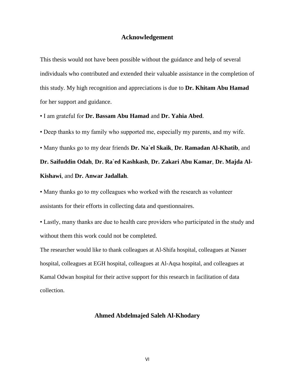#### **Acknowledgement**

This thesis would not have been possible without the guidance and help of several individuals who contributed and extended their valuable assistance in the completion of this study. My high recognition and appreciations is due to **Dr. Khitam Abu Hamad** for her support and guidance.

• I am grateful for **Dr. Bassam Abu Hamad** and **Dr. Yahia Abed**.

• Deep thanks to my family who supported me, especially my parents, and my wife.

• Many thanks go to my dear friends **Dr. Na`el Skaik**, **Dr. Ramadan Al-Khatib**, and **Dr. Saifuddin Odah**, **Dr. Ra`ed Kashkash**, **Dr. Zakari Abu Kamar**, **Dr. Majda Al-Kishawi**, and **Dr. Anwar Jadallah**.

• Many thanks go to my colleagues who worked with the research as volunteer assistants for their efforts in collecting data and questionnaires.

• Lastly, many thanks are due to health care providers who participated in the study and without them this work could not be completed.

The researcher would like to thank colleagues at Al-Shifa hospital, colleagues at Nasser hospital, colleagues at EGH hospital, colleagues at Al-Aqsa hospital, and colleagues at Kamal Odwan hospital for their active support for this research in facilitation of data collection.

#### **Ahmed Abdelmajed Saleh Al-Khodary**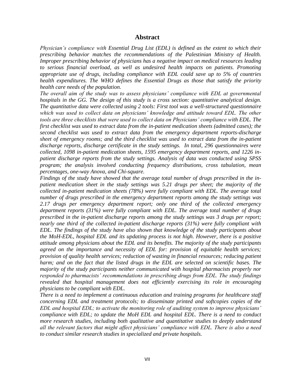#### **Abstract**

<span id="page-6-0"></span>*Physician's compliance with Essential Drug List (EDL) is defined as the extent to which their prescribing behavior matches the recommendations of the Palestinian Ministry of Health. Improper prescribing behavior of physicians has a negative impact on medical resources leading to serious financial overload, as well as undesired health impacts on patients. Promoting appropriate use of drugs, including compliance with EDL could save up to 5% of countries health expenditures. The WHO defines the Essential Drugs as those that satisfy the priority health care needs of the population.* 

*The overall aim of the study was to assess physicians' compliance with EDL at governmental hospitals in the GG. The design of this study is a cross section: quantitative analytical design. The quantitative data were collected using 2 tools: First tool was a well-structured questionnaire*  which was used to collect data on physicians' knowledge and attitude toward EDL. The other *tools are three checklists that were used to collect data on Physicians' compliance with EDL. The first checklist was used to extract data from the in-patient medication sheets (admitted cases); the second checklist was used to extract data from the emergency department reports-discharge sheet of emergency rooms; and the third checklist was used to extract data from the in-patient discharge reports, discharge certificate in the study settings. In total, 296 questionnaires were collected, 1098 in-patient medication sheets, 1595 emergency department reports, and 1226 inpatient discharge reports from the study settings. Analysis of data was conducted using SPSS program; the analysis involved conducting frequency distributions, cross tabulation, mean percentages, one-way Anova, and Chi-square.*

*Findings of the study have showed that the average total number of drugs prescribed in the inpatient medication sheet in the study settings was 5.21 drugs per sheet; the majority of the collected in-patient medication sheets (78%) were fully compliant with EDL. The average total number of drugs prescribed in the emergency department reports among the study settings was 2.17 drugs per emergency department report; only one third of the collected emergency department reports (31%) were fully compliant with EDL. The average total number of drugs prescribed in the in-patient discharge reports among the study settings was 3 drugs per report; nearly one third of the collected in-patient discharge reports (31%) were fully compliant with EDL. The findings of the study have also shown that knowledge of the study participants about the MoH-EDL, hospital EDL and its updating process is not high. However, there is a positive attitude among physicians about the EDL and its benefits. The majority of the study participants agreed on the importance and necessity of EDL for: provision of equitable health services; provision of quality health services; reduction of wasting in financial resources; reducing patient harm; and on the fact that the listed drugs in the EDL are selected on scientific bases. The majority of the study participants neither communicated with hospital pharmacists properly nor responded to pharmacists' recommendations in prescribing drugs from EDL. The study findings revealed that hospital management does not efficiently exercising its role in encouraging physicians to be compliant with EDL.* 

*There is a need to implement a continuous education and training programs for healthcare staff concerning EDL and treatment protocols; to disseminate printed and softcopies copies of the EDL and hospital EDL; to activate the monitoring role of auditing system to improve physicians' compliance with EDL; to update the MoH EDL and hospital EDL. There is a need to conduct more research studies, including both qualitative and quantitative studies to deeply understand all the relevant factors that might affect physicians' compliance with EDL. There is also a need to conduct similar research studies in specialized and private hospitals.*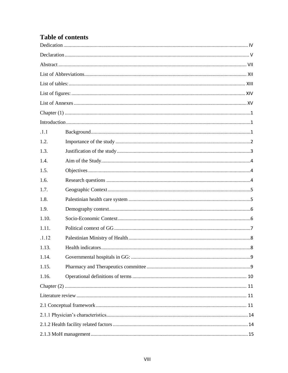# **Table of contents**

| .1.1  |  |  |  |
|-------|--|--|--|
| 1.2.  |  |  |  |
| 1.3.  |  |  |  |
| 1.4.  |  |  |  |
| 1.5.  |  |  |  |
| 1.6.  |  |  |  |
| 1.7.  |  |  |  |
| 1.8.  |  |  |  |
| 1.9.  |  |  |  |
| 1.10. |  |  |  |
| 1.11. |  |  |  |
| .1.12 |  |  |  |
| 1.13. |  |  |  |
| 1.14. |  |  |  |
| 1.15. |  |  |  |
| 1.16. |  |  |  |
|       |  |  |  |
|       |  |  |  |
|       |  |  |  |
|       |  |  |  |
|       |  |  |  |
|       |  |  |  |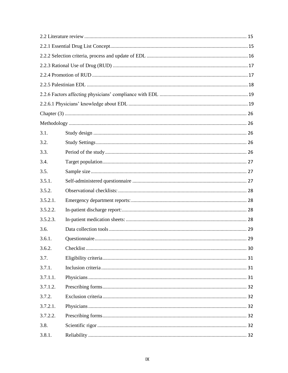| 3.1.     |  |  |  |
|----------|--|--|--|
| 3.2.     |  |  |  |
| 3.3.     |  |  |  |
| 3.4.     |  |  |  |
| 3.5.     |  |  |  |
| 3.5.1.   |  |  |  |
| 3.5.2.   |  |  |  |
| 3.5.2.1. |  |  |  |
| 3.5.2.2. |  |  |  |
| 3.5.2.3. |  |  |  |
| 3.6.     |  |  |  |
| 3.6.1.   |  |  |  |
| 3.6.2.   |  |  |  |
| 3.7.     |  |  |  |
| 3.7.1.   |  |  |  |
| 3.7.1.1. |  |  |  |
| 3.7.1.2. |  |  |  |
| 3.7.2.   |  |  |  |
| 3.7.2.1. |  |  |  |
| 3.7.2.2. |  |  |  |
| 3.8.     |  |  |  |
| 3.8.1.   |  |  |  |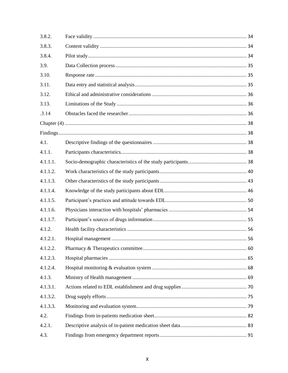| 3.8.2.   |  |
|----------|--|
| 3.8.3.   |  |
| 3.8.4.   |  |
| 3.9.     |  |
| 3.10.    |  |
| 3.11.    |  |
| 3.12.    |  |
| 3.13.    |  |
| .3.14    |  |
|          |  |
|          |  |
| 4.1.     |  |
| 4.1.1.   |  |
| 4.1.1.1. |  |
| 4.1.1.2. |  |
| 4.1.1.3. |  |
| 4.1.1.4. |  |
| 4.1.1.5. |  |
| 4.1.1.6. |  |
| 4.1.1.7. |  |
| 4.1.2.   |  |
| 4.1.2.1. |  |
| 4.1.2.2. |  |
| 4.1.2.3. |  |
| 4.1.2.4. |  |
| 4.1.3.   |  |
| 4.1.3.1. |  |
| 4.1.3.2. |  |
| 4.1.3.3. |  |
| 4.2.     |  |
| 4.2.1.   |  |
| 4.3.     |  |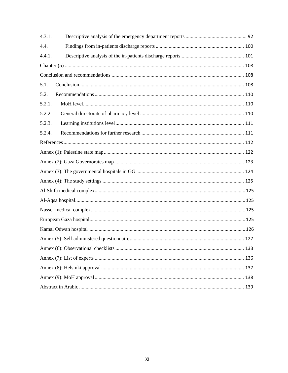| 4.3.1. |  |  |
|--------|--|--|
| 4.4.   |  |  |
| 4.4.1. |  |  |
|        |  |  |
|        |  |  |
| 5.1.   |  |  |
| 5.2.   |  |  |
| 5.2.1. |  |  |
| 5.2.2. |  |  |
| 5.2.3. |  |  |
| 5.2.4. |  |  |
|        |  |  |
|        |  |  |
|        |  |  |
|        |  |  |
|        |  |  |
|        |  |  |
|        |  |  |
|        |  |  |
|        |  |  |
|        |  |  |
|        |  |  |
|        |  |  |
|        |  |  |
|        |  |  |
|        |  |  |
|        |  |  |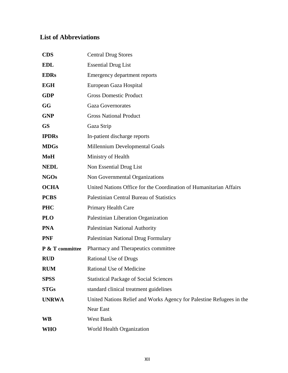## <span id="page-11-0"></span>**List of Abbreviations**

| <b>CDS</b>                 | <b>Central Drug Stores</b>                                           |  |
|----------------------------|----------------------------------------------------------------------|--|
| <b>EDL</b>                 | <b>Essential Drug List</b>                                           |  |
| <b>EDRs</b>                | <b>Emergency department reports</b>                                  |  |
| <b>EGH</b>                 | European Gaza Hospital                                               |  |
| <b>GDP</b>                 | <b>Gross Domestic Product</b>                                        |  |
| GG                         | <b>Gaza Governorates</b>                                             |  |
| <b>GNP</b>                 | <b>Gross National Product</b>                                        |  |
| <b>GS</b>                  | Gaza Strip                                                           |  |
| <b>IPDRs</b>               | In-patient discharge reports                                         |  |
| <b>MDGs</b>                | Millennium Developmental Goals                                       |  |
| MoH                        | Ministry of Health                                                   |  |
| <b>NEDL</b>                | Non Essential Drug List                                              |  |
| <b>NGOs</b>                | Non Governmental Organizations                                       |  |
| <b>OCHA</b>                | United Nations Office for the Coordination of Humanitarian Affairs   |  |
| <b>PCBS</b>                | Palestinian Central Bureau of Statistics                             |  |
| <b>PHC</b>                 | Primary Health Care                                                  |  |
| <b>PLO</b>                 | Palestinian Liberation Organization                                  |  |
| <b>PNA</b>                 | <b>Palestinian National Authority</b>                                |  |
| <b>PNF</b>                 | Palestinian National Drug Formulary                                  |  |
| <b>P &amp; T</b> committee | Pharmacy and Therapeutics committee                                  |  |
| <b>RUD</b>                 | <b>Rational Use of Drugs</b>                                         |  |
| <b>RUM</b>                 | Rational Use of Medicine                                             |  |
| <b>SPSS</b>                | <b>Statistical Package of Social Sciences</b>                        |  |
| <b>STGs</b>                | standard clinical treatment guidelines                               |  |
| <b>UNRWA</b>               | United Nations Relief and Works Agency for Palestine Refugees in the |  |
|                            | Near East                                                            |  |
| <b>WB</b>                  | <b>West Bank</b>                                                     |  |
| <b>WHO</b>                 | World Health Organization                                            |  |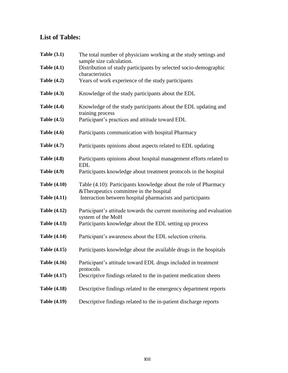# <span id="page-12-0"></span>**List of Tables:**

| Table $(3.1)$       | The total number of physicians working at the study settings and<br>sample size calculation.                |
|---------------------|-------------------------------------------------------------------------------------------------------------|
| <b>Table (4.1)</b>  | Distribution of study participants by selected socio-demographic<br>characteristics                         |
| <b>Table (4.2)</b>  | Years of work experience of the study participants                                                          |
| <b>Table (4.3)</b>  | Knowledge of the study participants about the EDL                                                           |
| <b>Table (4.4)</b>  | Knowledge of the study participants about the EDL updating and<br>training process                          |
| <b>Table (4.5)</b>  | Participant's practices and attitude toward EDL                                                             |
| <b>Table (4.6)</b>  | Participants communication with hospital Pharmacy                                                           |
| <b>Table (4.7)</b>  | Participants opinions about aspects related to EDL updating                                                 |
| <b>Table (4.8)</b>  | Participants opinions about hospital management efforts related to<br><b>EDL</b>                            |
| <b>Table (4.9)</b>  | Participants knowledge about treatment protocols in the hospital                                            |
| <b>Table (4.10)</b> | Table (4.10): Participants knowledge about the role of Pharmacy<br>& Therapeutics committee in the hospital |
| <b>Table (4.11)</b> | Interaction between hospital pharmacists and participants                                                   |
| <b>Table (4.12)</b> | Participant's attitude towards the current monitoring and evaluation<br>system of the MoH                   |
| <b>Table (4.13)</b> | Participants knowledge about the EDL setting up process                                                     |
| <b>Table (4.14)</b> | Participant's awareness about the EDL selection criteria.                                                   |
| <b>Table (4.15)</b> | Participants knowledge about the available drugs in the hospitals                                           |
| <b>Table (4.16)</b> | Participant's attitude toward EDL drugs included in treatment<br>protocols                                  |
| <b>Table (4.17)</b> | Descriptive findings related to the in-patient medication sheets                                            |
| <b>Table (4.18)</b> | Descriptive findings related to the emergency department reports                                            |
| <b>Table (4.19)</b> | Descriptive findings related to the in-patient discharge reports                                            |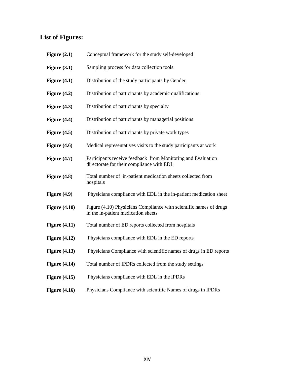# <span id="page-13-0"></span>**List of Figures:**

| Figure $(2.1)$  | Conceptual framework for the study self-developed                                                         |
|-----------------|-----------------------------------------------------------------------------------------------------------|
| Figure $(3.1)$  | Sampling process for data collection tools.                                                               |
| Figure $(4.1)$  | Distribution of the study participants by Gender                                                          |
| Figure $(4.2)$  | Distribution of participants by academic qualifications                                                   |
| Figure $(4.3)$  | Distribution of participants by specialty                                                                 |
| Figure $(4.4)$  | Distribution of participants by managerial positions                                                      |
| Figure $(4.5)$  | Distribution of participants by private work types                                                        |
| Figure $(4.6)$  | Medical representatives visits to the study participants at work                                          |
| Figure $(4.7)$  | Participants receive feedback from Monitoring and Evaluation<br>directorate for their compliance with EDL |
| Figure $(4.8)$  | Total number of in-patient medication sheets collected from<br>hospitals                                  |
| Figure $(4.9)$  | Physicians compliance with EDL in the in-patient medication sheet                                         |
| Figure $(4.10)$ | Figure (4.10) Physicians Compliance with scientific names of drugs<br>in the in-patient medication sheets |
| Figure $(4.11)$ | Total number of ED reports collected from hospitals                                                       |
| Figure $(4.12)$ | Physicians compliance with EDL in the ED reports                                                          |
| Figure $(4.13)$ | Physicians Compliance with scientific names of drugs in ED reports                                        |
| Figure $(4.14)$ | Total number of IPDRs collected from the study settings                                                   |
| Figure $(4.15)$ | Physicians compliance with EDL in the IPDRs                                                               |
| Figure $(4.16)$ | Physicians Compliance with scientific Names of drugs in IPDRs                                             |